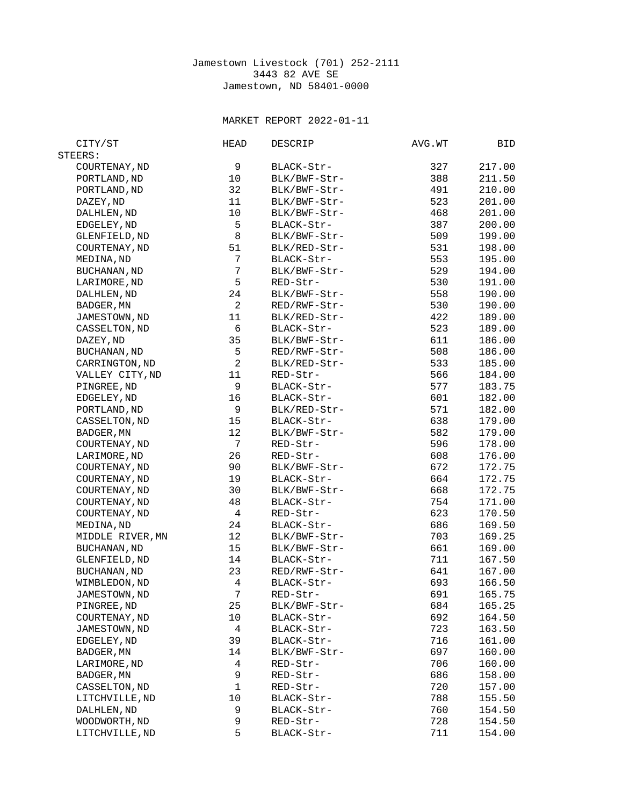## Jamestown Livestock (701) 252-2111 3443 82 AVE SE Jamestown, ND 58401-0000

## MARKET REPORT 2022-01-11

| CITY/ST             | HEAD                     | <b>DESCRIP</b> | AVG.WT | BID    |
|---------------------|--------------------------|----------------|--------|--------|
| STEERS:             |                          |                |        |        |
| COURTENAY, ND       | 9                        | BLACK-Str-     | 327    | 217.00 |
| PORTLAND, ND        | 10                       | BLK/BWF-Str-   | 388    | 211.50 |
| PORTLAND, ND        | 32                       | BLK/BWF-Str-   | 491    | 210.00 |
| DAZEY, ND           | 11                       | BLK/BWF-Str-   | 523    | 201.00 |
| DALHLEN, ND         | 10                       | BLK/BWF-Str-   | 468    | 201.00 |
| EDGELEY, ND         | 5                        | BLACK-Str-     | 387    | 200.00 |
| GLENFIELD, ND       | 8                        | BLK/BWF-Str-   | 509    | 199.00 |
| COURTENAY, ND       | 51                       | BLK/RED-Str-   | 531    | 198.00 |
| MEDINA, ND          | $\overline{7}$           | BLACK-Str-     | 553    | 195.00 |
| <b>BUCHANAN, ND</b> | $\overline{7}$           | BLK/BWF-Str-   | 529    | 194.00 |
| LARIMORE, ND        | 5                        | RED-Str-       | 530    | 191.00 |
| DALHLEN, ND         | 24                       | BLK/BWF-Str-   | 558    | 190.00 |
| BADGER, MN          | $\overline{2}$           | RED/RWF-Str-   | 530    | 190.00 |
| JAMESTOWN, ND       | 11                       | BLK/RED-Str-   | 422    | 189.00 |
| CASSELTON, ND       | $\,6$                    | BLACK-Str-     | 523    | 189.00 |
| DAZEY, ND           | 35                       | BLK/BWF-Str-   | 611    | 186.00 |
| BUCHANAN, ND        | 5                        | RED/RWF-Str-   | 508    | 186.00 |
| CARRINGTON, ND      | $\sqrt{2}$               | BLK/RED-Str-   | 533    | 185.00 |
| VALLEY CITY, ND     | 11                       | RED-Str-       | 566    | 184.00 |
| PINGREE, ND         | 9                        | BLACK-Str-     | 577    | 183.75 |
| EDGELEY, ND         | 16                       | BLACK-Str-     | 601    | 182.00 |
| PORTLAND, ND        | 9                        | BLK/RED-Str-   | 571    | 182.00 |
| CASSELTON, ND       | 15                       | BLACK-Str-     | 638    | 179.00 |
| BADGER, MN          | 12                       | BLK/BWF-Str-   | 582    | 179.00 |
| COURTENAY, ND       | $\overline{7}$           | RED-Str-       | 596    | 178.00 |
| LARIMORE, ND        | 26                       | RED-Str-       | 608    | 176.00 |
| COURTENAY, ND       | 90                       | BLK/BWF-Str-   | 672    | 172.75 |
| COURTENAY, ND       | 19                       | BLACK-Str-     | 664    | 172.75 |
| COURTENAY, ND       | 30                       | BLK/BWF-Str-   | 668    | 172.75 |
| COURTENAY, ND       | 48                       | BLACK-Str-     | 754    | 171.00 |
| COURTENAY, ND       | 4                        | RED-Str-       | 623    | 170.50 |
| MEDINA, ND          | 24                       | BLACK-Str-     | 686    | 169.50 |
| MIDDLE RIVER, MN    | 12                       | BLK/BWF-Str-   | 703    | 169.25 |
| <b>BUCHANAN, ND</b> | 15                       | BLK/BWF-Str-   | 661    | 169.00 |
| GLENFIELD, ND       | 14                       | BLACK-Str-     | 711    | 167.50 |
| <b>BUCHANAN, ND</b> | 23                       | RED/RWF-Str-   | 641    | 167.00 |
| WIMBLEDON, ND       | $\overline{\mathcal{L}}$ | BLACK-Str-     | 693    | 166.50 |
| JAMESTOWN, ND       | $\overline{7}$           | RED-Str-       | 691    | 165.75 |
| PINGREE, ND         | 25                       | BLK/BWF-Str-   | 684    | 165.25 |
| COURTENAY, ND       | 10                       | BLACK-Str-     | 692    | 164.50 |
| JAMESTOWN, ND       | 4                        | BLACK-Str-     | 723    | 163.50 |
| EDGELEY, ND         | 39                       | BLACK-Str-     | 716    | 161.00 |
| BADGER, MN          | 14                       | BLK/BWF-Str-   | 697    | 160.00 |
| LARIMORE, ND        | 4                        | RED-Str-       | 706    | 160.00 |
| BADGER, MN          | 9                        | RED-Str-       | 686    | 158.00 |
| CASSELTON, ND       | 1                        | RED-Str-       | 720    | 157.00 |
| LITCHVILLE, ND      | 10                       | BLACK-Str-     | 788    | 155.50 |
| DALHLEN, ND         | 9                        | BLACK-Str-     | 760    | 154.50 |
| WOODWORTH, ND       | 9                        | RED-Str-       | 728    | 154.50 |
| LITCHVILLE, ND      | 5                        | BLACK-Str-     | 711    | 154.00 |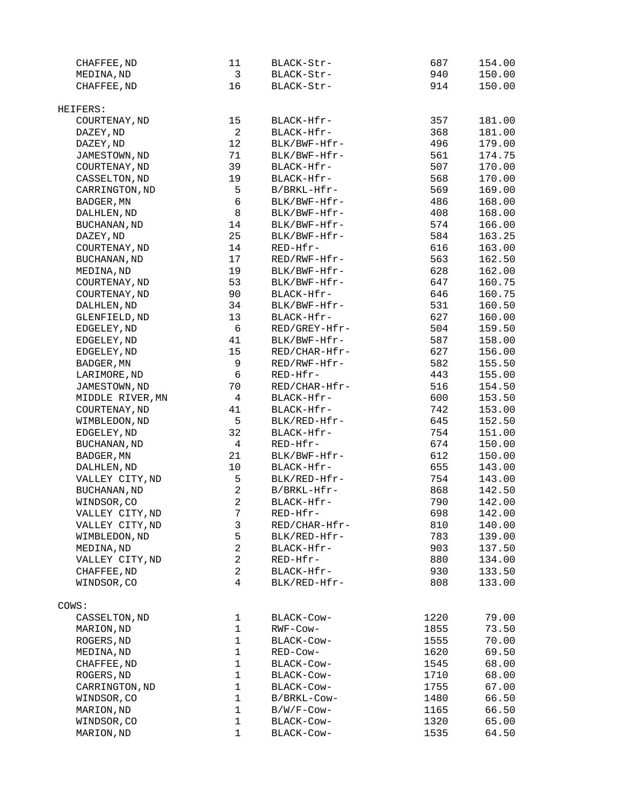| CHAFFEE, ND         | 11                               | BLACK-Str-    | 687  | 154.00 |
|---------------------|----------------------------------|---------------|------|--------|
| MEDINA, ND          | 3                                | BLACK-Str-    | 940  | 150.00 |
| CHAFFEE, ND         | 16                               | BLACK-Str-    | 914  | 150.00 |
| HEIFERS:            |                                  |               |      |        |
| COURTENAY, ND       | 15                               | BLACK-Hfr-    | 357  | 181.00 |
| DAZEY, ND           | $\overline{2}$                   | BLACK-Hfr-    | 368  | 181.00 |
| DAZEY, ND           | 12                               | BLK/BWF-Hfr-  | 496  | 179.00 |
| JAMESTOWN, ND       | 71                               | BLK/BWF-Hfr-  | 561  | 174.75 |
| COURTENAY, ND       | 39                               | BLACK-Hfr-    | 507  | 170.00 |
| CASSELTON, ND       | 19                               | BLACK-Hfr-    | 568  | 170.00 |
| CARRINGTON, ND      | 5                                | B/BRKL-Hfr-   | 569  | 169.00 |
| BADGER, MN          | 6                                | BLK/BWF-Hfr-  | 486  | 168.00 |
| DALHLEN, ND         | 8                                | BLK/BWF-Hfr-  | 408  | 168.00 |
| BUCHANAN, ND        | 14                               | BLK/BWF-Hfr-  | 574  | 166.00 |
| DAZEY, ND           | 25                               | BLK/BWF-Hfr-  | 584  | 163.25 |
| COURTENAY, ND       | 14                               | RED-Hfr-      | 616  | 163.00 |
| <b>BUCHANAN, ND</b> | 17                               | RED/RWF-Hfr-  | 563  | 162.50 |
| MEDINA, ND          | 19                               | BLK/BWF-Hfr-  | 628  | 162.00 |
| COURTENAY, ND       | 53                               | BLK/BWF-Hfr-  | 647  | 160.75 |
| COURTENAY, ND       | 90                               | BLACK-Hfr-    | 646  | 160.75 |
| DALHLEN, ND         | 34                               | BLK/BWF-Hfr-  | 531  | 160.50 |
| GLENFIELD, ND       | 13                               | BLACK-Hfr-    | 627  | 160.00 |
| EDGELEY, ND         | 6                                | RED/GREY-Hfr- | 504  | 159.50 |
| EDGELEY, ND         | 41                               | BLK/BWF-Hfr-  | 587  | 158.00 |
| EDGELEY, ND         | 15                               | RED/CHAR-Hfr- | 627  | 156.00 |
| BADGER, MN          | 9                                | RED/RWF-Hfr-  | 582  | 155.50 |
| LARIMORE, ND        | 6                                | RED-Hfr-      | 443  | 155.00 |
| JAMESTOWN, ND       | 70                               | RED/CHAR-Hfr- | 516  | 154.50 |
| MIDDLE RIVER, MN    | 4                                | BLACK-Hfr-    | 600  | 153.50 |
| COURTENAY, ND       | 41                               | BLACK-Hfr-    | 742  | 153.00 |
| WIMBLEDON, ND       | 5                                | BLK/RED-Hfr-  | 645  | 152.50 |
| EDGELEY, ND         | 32                               | BLACK-Hfr-    | 754  | 151.00 |
| BUCHANAN, ND        | $\overline{\mathbf{4}}$          | RED-Hfr-      | 674  | 150.00 |
| BADGER, MN          | 21                               | BLK/BWF-Hfr-  | 612  | 150.00 |
| DALHLEN, ND         | 10                               | BLACK-Hfr-    | 655  | 143.00 |
| VALLEY CITY, ND     | 5                                | BLK/RED-Hfr-  | 754  | 143.00 |
| <b>BUCHANAN, ND</b> | $\overline{c}$                   | B/BRKL-Hfr-   | 868  | 142.50 |
| WINDSOR, CO         | $\overline{c}$                   | BLACK-Hfr-    | 790  | 142.00 |
| VALLEY CITY, ND     | $\overline{7}$                   | RED-Hfr-      | 698  | 142.00 |
| VALLEY CITY, ND     | 3                                | RED/CHAR-Hfr- | 810  | 140.00 |
| WIMBLEDON, ND       | 5                                | BLK/RED-Hfr-  | 783  | 139.00 |
| MEDINA, ND          | $\overline{c}$<br>$\overline{c}$ | BLACK-Hfr-    | 903  | 137.50 |
| VALLEY CITY, ND     | $\overline{2}$                   | RED-Hfr-      | 880  | 134.00 |
| CHAFFEE, ND         | 4                                | BLACK-Hfr-    | 930  | 133.50 |
| WINDSOR, CO         |                                  | BLK/RED-Hfr-  | 808  | 133.00 |
| COWS:               |                                  |               |      |        |
| CASSELTON, ND       | 1                                | BLACK-COW-    | 1220 | 79.00  |
| MARION, ND          | 1                                | RWF-Cow-      | 1855 | 73.50  |
| ROGERS, ND          | $\mathbf{1}$                     | BLACK-Cow-    | 1555 | 70.00  |
| MEDINA, ND          | 1                                | RED-Cow-      | 1620 | 69.50  |
| CHAFFEE, ND         | $\mathbf{1}$                     | BLACK-Cow-    | 1545 | 68.00  |
| ROGERS, ND          | $\mathbf{1}$                     | BLACK-Cow-    | 1710 | 68.00  |
| CARRINGTON, ND      | $\mathbf{1}$                     | BLACK-Cow-    | 1755 | 67.00  |
| WINDSOR, CO         | 1                                | B/BRKL-Cow-   | 1480 | 66.50  |
| MARION, ND          | 1                                | B/W/F-Cow-    | 1165 | 66.50  |
| WINDSOR, CO         | 1                                | BLACK-Cow-    | 1320 | 65.00  |
| MARION, ND          | 1                                | BLACK-Cow-    | 1535 | 64.50  |